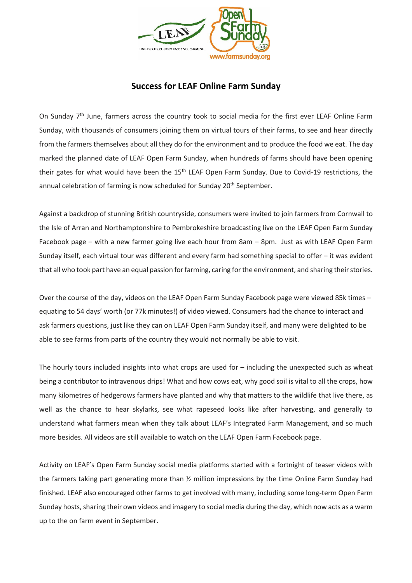

## **Success for LEAF Online Farm Sunday**

On Sunday 7<sup>th</sup> June, farmers across the country took to social media for the first ever LEAF Online Farm Sunday, with thousands of consumers joining them on virtual tours of their farms, to see and hear directly from the farmers themselves about all they do for the environment and to produce the food we eat. The day marked the planned date of LEAF Open Farm Sunday, when hundreds of farms should have been opening their gates for what would have been the 15<sup>th</sup> LEAF Open Farm Sunday. Due to Covid-19 restrictions, the annual celebration of farming is now scheduled for Sunday 20<sup>th</sup> September.

Against a backdrop of stunning British countryside, consumers were invited to join farmers from Cornwall to the Isle of Arran and Northamptonshire to Pembrokeshire broadcasting live on the LEAF Open Farm Sunday Facebook page – with a new farmer going live each hour from 8am – 8pm. Just as with LEAF Open Farm Sunday itself, each virtual tour was different and every farm had something special to offer – it was evident that all who took part have an equal passion for farming, caring for the environment, and sharing their stories.

Over the course of the day, videos on the LEAF Open Farm Sunday Facebook page were viewed 85k times – equating to 54 days' worth (or 77k minutes!) of video viewed. Consumers had the chance to interact and ask farmers questions, just like they can on LEAF Open Farm Sunday itself, and many were delighted to be able to see farms from parts of the country they would not normally be able to visit.

The hourly tours included insights into what crops are used for  $-$  including the unexpected such as wheat being a contributor to intravenous drips! What and how cows eat, why good soil is vital to all the crops, how many kilometres of hedgerows farmers have planted and why that matters to the wildlife that live there, as well as the chance to hear skylarks, see what rapeseed looks like after harvesting, and generally to understand what farmers mean when they talk about LEAF's Integrated Farm Management, and so much more besides. All videos are still available to watch on the LEAF Open Farm Facebook page.

Activity on LEAF's Open Farm Sunday social media platforms started with a fortnight of teaser videos with the farmers taking part generating more than ½ million impressions by the time Online Farm Sunday had finished. LEAF also encouraged other farms to get involved with many, including some long-term Open Farm Sunday hosts, sharing their own videos and imagery to social media during the day, which now acts as a warm up to the on farm event in September.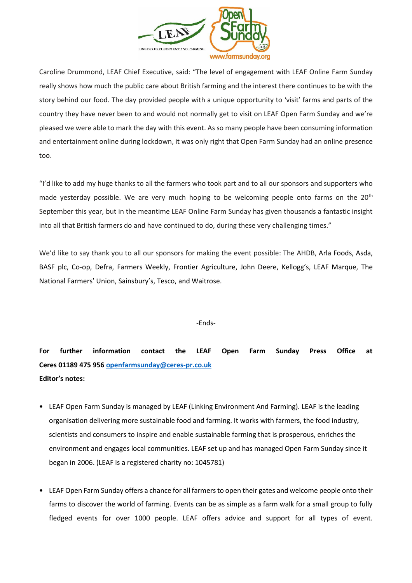

Caroline Drummond, LEAF Chief Executive, said: "The level of engagement with LEAF Online Farm Sunday really shows how much the public care about British farming and the interest there continues to be with the story behind our food. The day provided people with a unique opportunity to 'visit' farms and parts of the country they have never been to and would not normally get to visit on LEAF Open Farm Sunday and we're pleased we were able to mark the day with this event. As so many people have been consuming information and entertainment online during lockdown, it was only right that Open Farm Sunday had an online presence too.

"I'd like to add my huge thanks to all the farmers who took part and to all our sponsors and supporters who made yesterday possible. We are very much hoping to be welcoming people onto farms on the 20<sup>th</sup> September this year, but in the meantime LEAF Online Farm Sunday has given thousands a fantastic insight into all that British farmers do and have continued to do, during these very challenging times."

We'd like to say thank you to all our sponsors for making the event possible: The AHDB, Arla Foods, Asda, BASF plc, Co-op, Defra, Farmers Weekly, Frontier Agriculture, John Deere, Kellogg's, LEAF Marque, The National Farmers' Union, Sainsbury's, Tesco, and Waitrose.

## -Ends-

**For further information contact the LEAF Open Farm Sunday Press Office at Ceres 01189 475 956 [openfarmsunday@ceres-pr.co.uk](mailto:openfarmsunday@ceres-pr.co.uk) Editor's notes:** 

- LEAF Open Farm Sunday is managed by LEAF (Linking Environment And Farming). LEAF is the leading organisation delivering more sustainable food and farming. It works with farmers, the food industry, scientists and consumers to inspire and enable sustainable farming that is prosperous, enriches the environment and engages local communities. LEAF set up and has managed Open Farm Sunday since it began in 2006. (LEAF is a registered charity no: 1045781)
- LEAF Open Farm Sunday offers a chance for all farmers to open their gates and welcome people onto their farms to discover the world of farming. Events can be as simple as a farm walk for a small group to fully fledged events for over 1000 people. LEAF offers advice and support for all types of event.